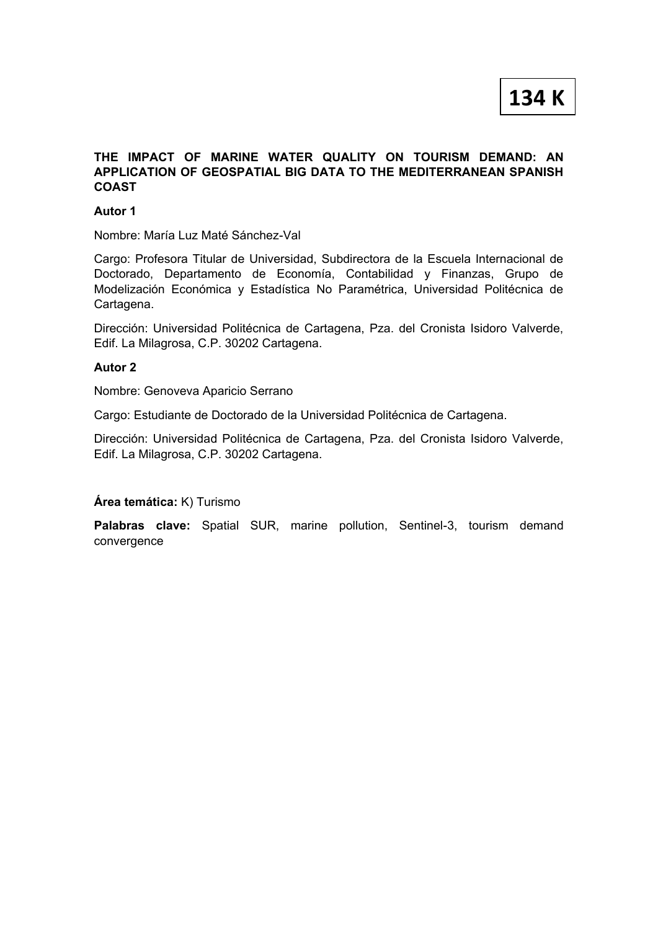## **THE IMPACT OF MARINE WATER QUALITY ON TOURISM DEMAND: AN APPLICATION OF GEOSPATIAL BIG DATA TO THE MEDITERRANEAN SPANISH COAST**

### **Autor 1**

Nombre: María Luz Maté Sánchez-Val

Cargo: Profesora Titular de Universidad, Subdirectora de la Escuela Internacional de Doctorado, Departamento de Economía, Contabilidad y Finanzas, Grupo de Modelización Económica y Estadística No Paramétrica, Universidad Politécnica de Cartagena.

Dirección: Universidad Politécnica de Cartagena, Pza. del Cronista Isidoro Valverde, Edif. La Milagrosa, C.P. 30202 Cartagena.

#### **Autor 2**

Nombre: Genoveva Aparicio Serrano

Cargo: Estudiante de Doctorado de la Universidad Politécnica de Cartagena.

Dirección: Universidad Politécnica de Cartagena, Pza. del Cronista Isidoro Valverde, Edif. La Milagrosa, C.P. 30202 Cartagena.

#### **Área temática:** K) Turismo

**Palabras clave:** Spatial SUR, marine pollution, Sentinel-3, tourism demand convergence